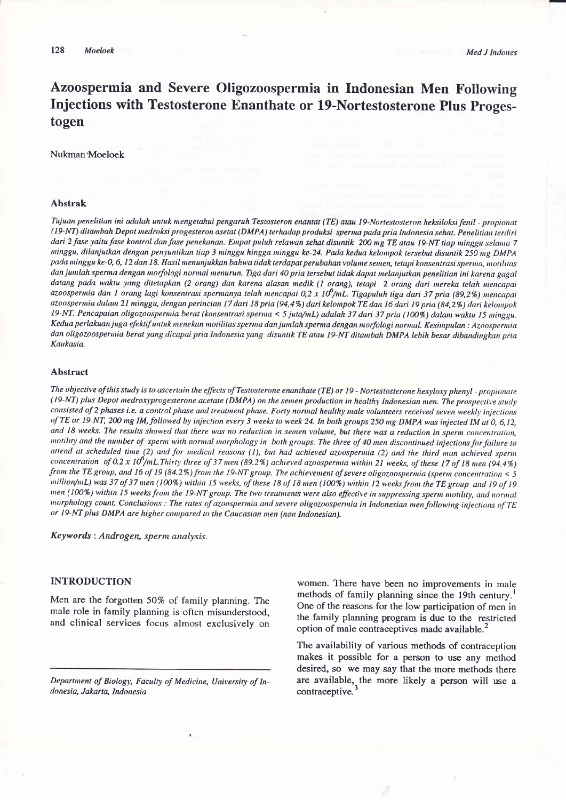Azoospermia and Severe Oligozoospermia in Indonesian Men Following Injections with Testosterone Enanthate or l9-Nortestosterone Plus Progestogen

#### Nukman'Moeloek

# Abstrak

Tuiuan penelitian ini adalah untuk nrengetahui pengaruh Testosteron enantat (TE) atau l9-Nortestosteron heksiloksi fenil - propionat (19-NT) ditanbah Depot nedroksi progesteron asetat (DMPA) terhadap produksi sperna pada pria Indonesia sehat. Penelitian terdiri dari 2 fase yaitu fase kontrol dan fase penekanan. Empat puluh relawan sehat disuntik 200 mg TE atau 19-NT tiap minggu selama 7 nunggu, dilanjutkan dengan penyuntikan tiap 3 minggu hingga minggu ke-24. Pada kedua kelompok tersebut disuntik 250 mg DMPA pada minggu ke-0, 6, 12 dan 18. Hasil menunjukkan bahwa tidak terdapat perubahan volume semen, tetapi konsentrasi sperma, motilitas dan jumlah sperma dengan morfologi normal menurun. Tiga dari 40 pria tersebut tidak dapat melanjutkan penelitian ini karena gagal datang pada waktu yang ditetapkan (2 orang) dan karena alasan medik (1 orang), tetapi 2 orang dari mereka telah mencapai azoospermia dan 1 orang lagi konsentrasi spermanya telah mencapai 0,2 x 10<sup>6</sup>/mL. Tigapuluh tiga dari 37 pria (89,2%) mencapai azoospermia dalam 21 minggu, dengan perincian 17 dari 18 pria (94,4%) dari kelompok TE dan 16 dari 19 pria (84,2%) dari kelompok 19-NT. Pencapaian oligozoospermia berat (konsentrasi sperma < 5 juta/mL) adalah 37 dari 37 pria (100%) dalam waktu 15 minggu. Kedua perlakuan juga efektif untuk menekan motilitas sperma dan jumlah sperma dengan morfologi normal. Kesimpulan : Azoospermia dan oligozoospermia berat yang dicapai pria Indonesia yang disuntik TE atau 19-NT ditambah DMPA lebih besar dibandingkan pria Kaukasia.

## Abstract

The objective of this study is to ascertain the effects of Testosterone enanthate (TE) or 19 - Nortestosterone hexyloxy phenyl - propionate (19-NT) plus Depot medroxyprogesterone acetate (DMPA) on the semen production in healthy Indonesian men. The prospective study consisted of 2 phases i.e. a control phase and treatment phase. Forty normal healthy male volunteers received seven weekly injections of TE or 19-NT, 200 mg IM, followed by injection every 3 weeks to week 24. In both groups 250 mg DMPA was injected IM at 0, 6,12, and 18 weeks. The results showed that there was no reduction in semen volume, but there was a reduction in sperm concentration, motility and the number of sperm with normal morphology in both groups. The three of 40 men discontinued injections for failure to attend at scheduled time (2) and for medical reasons (1), but had achieved azoospermia (2) and the third man achieved sperm concentration of 0.2 x  $10^6$ /mL.Thirty three of 37 men (89.2%) achieved azoospermia within 21 weeks, of these 17 of 18 men (94.4%) from the TE group, and 16 of 19 (84.2%) from the 19-NT group. The achievement of severe oligozoospermia (sperm concentration < 5  $t$  million/mL) was 37 of 37 men (100%) within 15 weeks, of these 18 of 18 men (100%) within 12 weeks from the TE group and 19 of 19 men (100%) within 15 weeks from the 19-NT group. The two treatments were also effective in suppressing sperm motility, and normal morphology count. Conclusions : The rates of azoospermia and severe oligozoospermia in Indonesian men following injections of TE or 19-NT plus DMPA are higher compared to the Caucasian men (non Indonesian).

Keywords : Androgen, sperm analysis.

# INTRODUCTION

Men are the forgotten 50% of family planning. The male role in family planning is often misunderstood, and clinical services focus almost exclusively on

women. There have been no improvements in male methods of family planning since the 19th century.<sup>1</sup> One of the reasons for the low participation of men in the family planning program is due to the restricted option of male contraceptives made available.<sup>2</sup>

The availability of various methods of contraception makes it possible for a person to use any method desired, so we may say that the more methods there are available, the more likely a person will use a contraceptive.

Department of Biology, Faculty of Medicine, University of Indonesia, Jakarta, Indonesia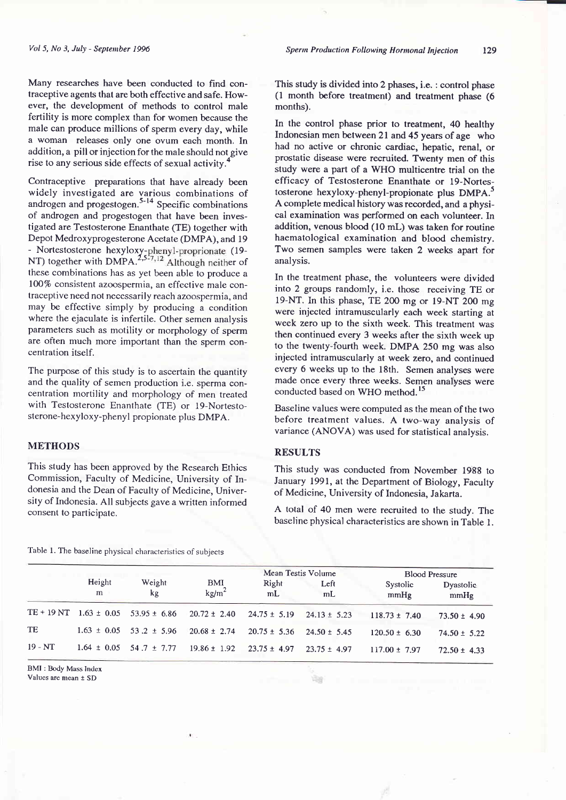Many researches have been conducted to find contraceptive agents that are both effective and safe. However, the development of methods to control male fertility is more complex than for women because the male can produce millions of sperm every day, while a woman releases only one ovum each month. In addition, a pill or injection for the male should not give rise to any serious side effects of sexual activity.<sup>4</sup>

Contraceptive preparations that have already been widely investigated are various combinations of androgen and progestogen. $5-14$  Specific combinations of androgen and progestogen that have been investigated are Testosterone Enanthate (TE) together with Depot Medroxyprogesterone Acetate (DMPA), and 19 - Nortestosterone hexyloxy-phenyl-proprionate (19-NT) together with DMPA.<sup>2,5-7,12</sup> Although neither of these combinations has as yet been able to produce a 100% consjstent azoospermia, an effective male contraceptive need not necessarily reach azoospermia, and may be effective simply by producing a condition where the ejaculate is infertile. Other semen analysis parameters such as motility or morphology of sperm are often much more important than the sperm concentration itself.

The purpose of this study is to ascertain the quantity and the quality of semen production i.e. sperma concentration mortility and morphology of men treated with Testosterone Enanthate (TE) or 19-Nortestosterone-hexyloxy-phenyl propionate plus DMPA.

## **METHODS**

This study has been approved by the Research Ethics Commission, Faculty of Medicine, University of Indonesia and the Dean of Faculty of Medicine, University of Indonesia. All subjects gave a written informed consent to participate.

This study is divided into 2 phases, i.e. : control phase (l month before treatment) and treatment phase (6 months).

In the control phase prior to treatment, 40 healthy Indonesian men between 2l and 45 years of age who had no active or chronic cardiac, hepatic, renal, or prostatic disease were recruited. Twenty men of this study were a part of a WHO multicentre trial on the efficacy of Testosterone Enanthate or l9-Nortestosterone hexyloxy-phenyl-propionate plus DMPA.<sup>3</sup> A complete medical history was recorded, and a physical examination was performed on each volunteer. In addition, venous blood (10 mL) was taken for routine haematological examination and blood chemistry. Two semen samples were taken 2 weeks apart for analysis.

In the treatment phase, the volunteers were divided into 2 groups randomly, i.e. those receiving TE or lg-NT. In this phase, TE 200 mg or l9-NT 200 mg were injected intramuscularly each week starting at week zero up to the sixth week. This treatment was then continued every 3 weeks after the sixth week up to the twenty-fourth week, DMPA25O mg was also injected intramuscularly at week zero, and continued every 6 weeks up to the l8th. Semen analyses were made once every three weeks. Semen analyses were conducted based on WHO method.<sup>15</sup>

Baseline values were computed as the mean of the two before treatment values. A two-way analysis of variance (ANOVA) was used for statistjcal analysis.

# RESULTS

YЗи

This study was conducted from November 1988 to January 1991, at the Department of Biology, Faculty of Medicine, University of Indonesia, Jakarta.

A total of 40 men were recruited to the study. The baseline physical characteristics are shown in Table l.

|  |  |  |  | Table 1. The baseline physical characteristics of subjects |  |
|--|--|--|--|------------------------------------------------------------|--|
|--|--|--|--|------------------------------------------------------------|--|

|             |                 |                                 |                          | Mean Testis Volume |                        | <b>Blood Pressure</b> |                   |
|-------------|-----------------|---------------------------------|--------------------------|--------------------|------------------------|-----------------------|-------------------|
|             | Height<br>m     | Weight<br>kg                    | BMI<br>kg/m <sup>2</sup> | Right<br>mL        | Left<br>m <sub>L</sub> | Systolic<br>mmHg      | Dyastolic<br>mmHg |
| $TE + 19NT$ | $1.63 \pm 0.05$ | $53.95 \pm 6.86$                | $20.72 \pm 2.40$         | $24.75 \pm 5.19$   | $24.13 \pm 5.23$       | $118.73 \pm 7.40$     | $73.50 \pm 4.90$  |
| TE          |                 | $1.63 \pm 0.05$ 53.2 $\pm$ 5.96 | $20.68 \pm 2.74$         | $20.75 \pm 5.36$   | $24.50 \pm 5.45$       | $120.50 \pm 6.30$     | $74.50 \pm 5.22$  |
| $19 - NT$   |                 | $1.64 \pm 0.05$ 54.7 $\pm$ 7.77 | $19.86 \pm 1.92$         | $23.75 \pm 4.97$   | $23.75 \pm 4.97$       | $117.00 \pm 7.97$     | $72.50 \pm 4.33$  |

BMI : Body Mass Index Values are mean  $\pm$  SD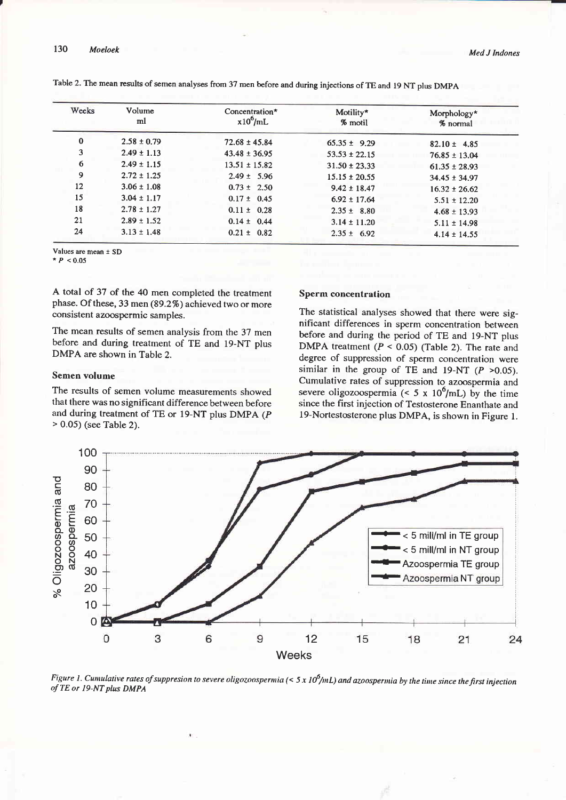| Weeks    | Volume<br>ml    | Concentration*<br>$x10^6$ /mL | Motility*<br>% motil | Morphology*<br>% normal |
|----------|-----------------|-------------------------------|----------------------|-------------------------|
| $\bf{0}$ | $2.58 \pm 0.79$ | $72.68 \pm 45.84$             | $65.35 \pm 9.29$     | $82.10 \pm 4.85$        |
| 3        | $2.49 \pm 1.13$ | $43.48 \pm 36.95$             | $53.53 \pm 22.15$    | $76.85 \pm 13.04$       |
| 6        | $2.49 \pm 1.15$ | $13.51 \pm 15.82$             | $31.50 \pm 23.33$    | $61.35 \pm 28.93$       |
| 9        | $2.72 \pm 1.25$ | $2.49 \pm 5.96$               | $15.15 \pm 20.55$    | $34.45 \pm 34.97$       |
| 12       | $3.06 \pm 1.08$ | $0.73 \pm 2.50$               | $9.42 \pm 18.47$     | $16.32 \pm 26.62$       |
| 15       | $3.04 \pm 1.17$ | $0.17 \pm 0.45$               | $6.92 \pm 17.64$     | $5.51 \pm 12.20$        |
| 18       | $2.78 \pm 1.27$ | $0.11 \pm 0.28$               | $2.35 \pm 8.80$      | $4.68 \pm 13.93$        |
| 21       | $2.89 \pm 1.52$ | $0.14 \pm 0.44$               | $3.14 \pm 11.20$     | $5.11 \pm 14.98$        |
| 24       | $3.13 \pm 1.48$ | $0.21 \pm 0.82$               | $2.35 \pm 6.92$      | $4.14 \pm 14.55$        |
|          |                 |                               |                      |                         |

Table 2. The mean results of semen analyses from 37 men before and during injections of TE and 19 NT plus DMPA

Values are mean + SD

 $*P < 0.05$ 

A total of 37 of the 40 men completed the treatment phase. Of these, 33 men (89.2%) achieved two or more consistent azoospermic samples.

The mean results of semen analysis from the 37 men before and during treatment of TE and 19-NT plus DMPA are shown in Table 2.

#### Semen volume

The results of semen volume measurements showed that there was no significant difference between before and during treatment of TE or 19-NT plus DMPA (P  $> 0.05$ ) (see Table 2).

#### **Sperm concentration**

The statistical analyses showed that there were significant differences in sperm concentration between before and during the period of TE and 19-NT plus DMPA treatment  $(P < 0.05)$  (Table 2). The rate and degree of suppression of sperm concentration were similar in the group of TE and 19-NT  $(P > 0.05)$ . Cumulative rates of suppression to azoospermia and severe oligozoospermia (< 5 x  $10^6$ /mL) by the time since the first injection of Testosterone Enanthate and 19-Nortestosterone plus DMPA, is shown in Figure 1.



Figure 1. Cumulative rates of suppresion to severe oligozoospermia  $(< 5 x 10^6/mL)$  and azoospermia by the time since the first injection of TE or 19-NT plus DMPA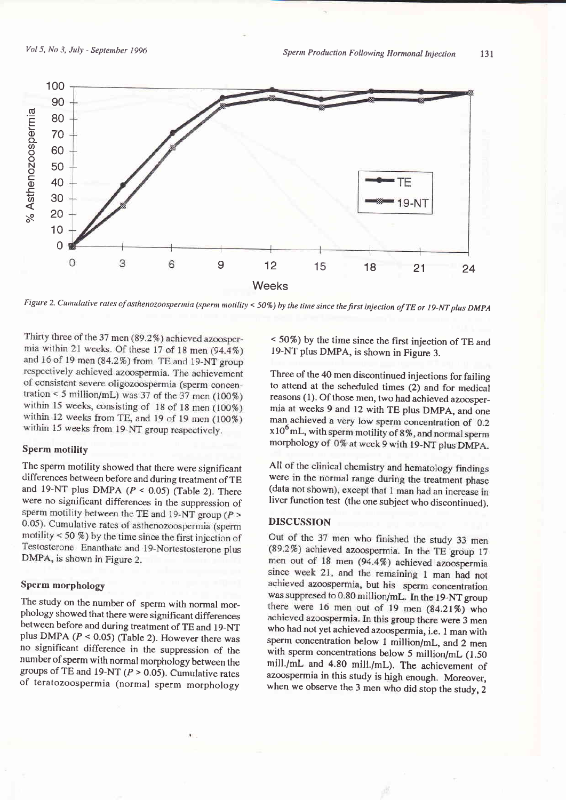

Figure 2. Cumulative rates of asthenozoospermia (sperm motility < 50%) by the time since the first injection of TE or 19-NT plus DMPA

Thirty three of the 37 men (89.2%) achieved azoospermia within 21 weeks. Of these 17 of 18 men  $(94.4\%)$ and 16 of 19 men (84.2%) from TE and 19-NT group respectively achieved azoospermia. The achievement of consistent severe oligozoospermia (sperm concentration < 5 million/mL) was 37 of the  $37$  men (100%) within 15 weeks, consisting of 18 of 18 men (100%) within 12 weeks from TE, and 19 of 19 men (100%) within 15 weeks from 19-NT group respectively.

#### Sperm motility

The sperm motility showed that there were significant differences between before and during treatment of TE and 19-NT plus DMPA  $(P < 0.05)$  (Table 2). There were no significant differences in the suppression of sperm motility between the TE and  $19-NT$  group ( $P >$ 0.05). Cumulative rates of asthenozoospermia (sperm motility < 50  $%$ ) by the time since the first injection of Testosterone Enanthate and 19-Nortestosterone plus DMPA, is shown in Figure 2.

# Sperm morphology

The study on the number of sperm with normal mor\_ phology showed that there were significant differences between before and during treatment of TE and 19-NT plus DMPA ( $P < 0.05$ ) (Table 2). However there was no significant difference in the suppression of the number of sperm with normal morphology between the groups of TE and 19-NT ( $P > 0.05$ ). Cumulative rates of teratozoospermia (normal sperm morphology < 5O7o) by the time since the first injection of TE and 19-NT plus DMPA, is shown in Figure 3.

Three of the 4O men discontinued injections for failing to attend at the scheduled times (2) and for medical reasons (1). Of those men, two had achieved azoosper\_ mia at weeks 9 and 12 with TE plus DMpA, and one man achieved a very low sperm concentration of 0.2  $x10^6$  mL, with sperm motility of 8%, and normal sperm morphology of 0% at week 9 with 19-NT plus DMPA.

All of the clinical chemistry and hematology findings were in the normal range during the treatment phase (data not shown), except that 1 man had an increase in liver function test (the one subject who discontinued).

#### DISCUSSION

Out of the 37 men who finished the study 33 men (89.2%) achieved azoospermia. In the TE group 17 men out of 18 men (94.4%) achieved azoospermia since week 21, and the remaining 1 man had not achieved azoospermia, but his sperm concentration<br>was suppresed to 0.80 million/mL. In the 19-NT group there were 16 men out of 19 men  $(84.21\%)$  who achieved azoospermia. In this group there were 3 men who had not yet achieved azoospermia, i.e. 1 man with sperm concentration below 1 million/mL, and 2 men with sperm concentrations below 5 million/mL (1.50) mill./mL and 4.80 mill./mL). The achievement of azoospermia in this study is high enough. Moreover, when we observe the 3 men who did stop the study, 2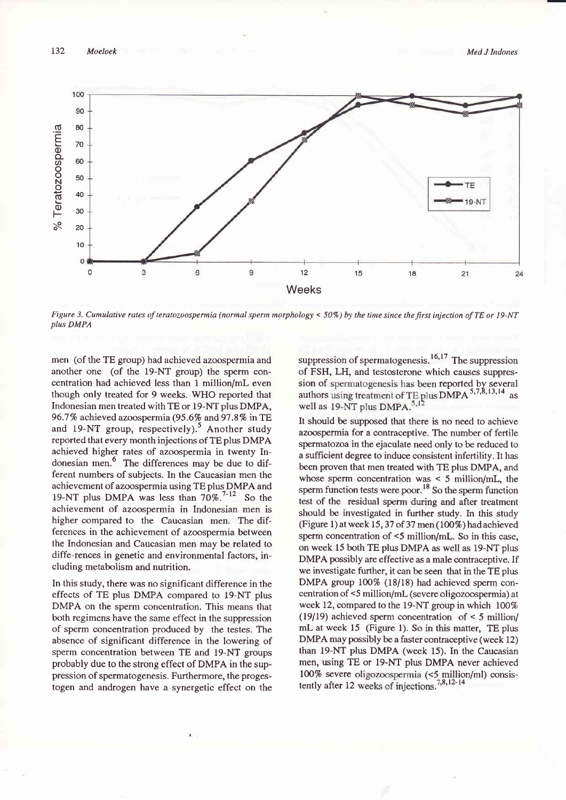

Figure 3. Cumulative rates of teratozoospermia (normal sperm morphology < 50%) by the time since the first injection of TE or 19-NT plus DMPA

men (of the TE group) had achieved azoospermia and another one (of the 19-NT group) the sperm concentration had achieved less than 1 million/mL even though only treated for 9 weeks. WHO reported that Indonesian men treated with TE or 19-NT plus DMPA, 96.7% achieved azoospermia (95.6% and 97.8% in TE and 19-NT group, respectively).<sup>5</sup> Another study reported that every month injections of TE plus DMPA achieved higher rates of azoospermia in twenty Indonesian men.<sup>6</sup> The differences may be due to different numbers of subjects. In the Caucasian men the achievement of azoospermia using TE plus DMPA and 19-NT plus DMPA was less than  $70\%$ .<sup>7-12</sup> So the achievement of azoospermia in Indonesian men is higher compared to the Caucasian men. The differences in the achievement of azoospermia between the Indonesian and Caucasian men may be related to diffe-rences in genetic and environmental factors, including metabolism and nutrition.

In this study, there was no significant difference in the effects of TE plus DMPA compared to 19-NT plus DMPA on the sperm concentration. This means that both regimens have the same effect in the suppression of sperm concentration produced by the testes. The absence of significant difference in the lowering of sperm concentration between TE and 19-NT groups probably due to the strong effect of DMPA in the suppression of spermatogenesis. Furthermore, the progestogen and androgen have a synergetic effect on the

suppression of spermatogenesis.<sup>16,17</sup> The suppression of FSH, LH, and testosterone which causes suppression of spermatogenesis has been reported by several authors using treatment of TE plus DMPA<sup>5,7,8,13,14</sup> as<br>well as 19-NT plus DMPA.<sup>5,12</sup>

It should be supposed that there is no need to achieve azoospermia for a contraceptive. The number of fertile spermatozoa in the ejaculate need only to be reduced to a sufficient degree to induce consistent infertility. It has been proven that men treated with TE plus DMPA, and whose sperm concentration was  $\leq$  5 million/mL, the sperm function tests were poor.<sup>18</sup> So the sperm function test of the residual sperm during and after treatment should be investigated in further study. In this study (Figure 1) at week 15, 37 of 37 men (100%) had achieved sperm concentration of <5 million/mL. So in this case, on week 15 both TE plus DMPA as well as 19-NT plus DMPA possibly are effective as a male contraceptive. If we investigate further, it can be seen that in the TE plus DMPA group 100% (18/18) had achieved sperm concentration of <5 million/mL (severe oligozoospermia) at week 12, compared to the 19-NT group in which 100% (19/19) achieved sperm concentration of  $\leq$  5 million/ mL at week 15 (Figure 1). So in this matter, TE plus DMPA may possibly be a faster contraceptive (week 12) than 19-NT plus DMPA (week 15). In the Caucasian men, using TE or 19-NT plus DMPA never achieved 100% severe oligozoospermia (<5 million/ml) consistently after 12 weeks of injections.<sup>7,8,12-14</sup>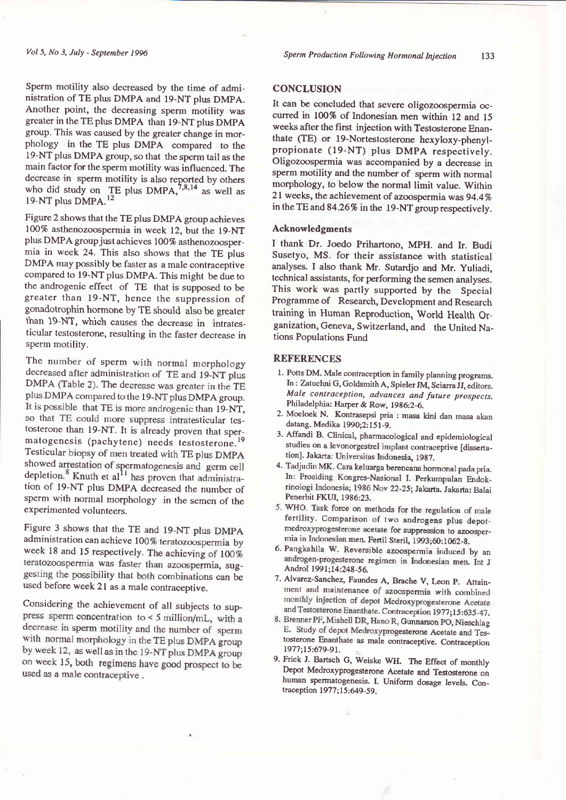Sperm motility also decreased by the time of administration of TE plus DMPA and l9-NT plus DMpA. Another point, the decreasing sperm motility was greater in the TE plus DMPA than 19-NT plus DMpA group, This was caused by the greater change in morphology in the TE plus DMPA compared to the 19-NT plus DMPA group, so that the sperm tail as the main factor for the sperm motility was influenced. The decrease in sperm motility is also reported by others who did study on TE plus DMPA,  $^{7,8,14}$  as well as 19-NT plus DMPA.<sup>12</sup>

Figure 2 shows that the TE plus DMPA group achieves 100% asthenozoospermia in week 12, but the 19-NT plus DMPA groupjust achieves 100% asthenozoospermia in week 24. This also shows that the TE plus DMPA may possibly be faster as a male contraceptive compared to 19-NT plus DMPA. This might be due to the androgenic effect of TE that is supposed to be greater than l9-NT, hence the suppression of gonadotrophin hormone by TE should also be greater than 19-NT, which causes the decrease in intratesticular testosterone, resulting in the faster decrease in sperm motility.

The number of sperm with normal morphology decreased after administration of TE and 19-NT plus<br>DMPA (Table 2). The decrease was greater in the TE plus DMPA compared to the 19-NT plus DMPA group. It is possible that TE is more androgenic than 19-NT, so that TE could more suppress intratesticular testosterone than 19-NT. It is already proven that sper-<br>matogenesis (pachytene) needs testosterone.<sup>19</sup> Testicular biopsy of men treated with TE plus DMPA<br>showed arrestation of spermatogenesis and germ cell<br>depletion.<sup>8</sup> Knuth et al<sup>11</sup> has proven that administration of 19-NT plus DMpA decreased the number of sperm with normal morphology in the semen of the experimented volunteers.

Figure 3 shows that the TE and 19-NT plus DMPA administration can achieve 100% teratozoospermia by week 18 and 15 respectively. The achieving of 100% teratozoospermia was faster than azoospermia, suggesting the possibility that both combinations can be used before week 21 as a male contraceptive.

Considering the achievement of all subjects to suppress sperm concentration to  $\leq$  5 million/mL, with a decrease in sperm motility and the number of sperm with normal morphology in the TE plus DMPA group by week 12, as well as in the 19-NT plus DMPA group on week 15, both regimens have good prospect to be used as a male contraceptive.

## **CONCLUSION**

It can be concluded that severe oligozoospermia occurred in 100% of Indonesian men within 12 and 15 weeks after the first injection with Testosterone Enanthate (TE) or l9-Nortestosterone hexyloxy-phenylpropionate (19-NT) plus DMPA respectively. Oligozoospermia was accompanied by a decrease in sperm motility and the number of sperm with normal morphology, to below the normal limit value. Within 21 weeks, the achievement of azoospermia was 94.4% in the TB and 84.26% in the 19-NT group respectively.

## Acknowledgments

I thank Dr. Joedo Prihartono, MpH. and Ir. Budi Susetyo, MS. for their assistance with statistical analyses. I also thank Mr. Sutardjo and Mr. yuliadi, technical assistants, for performing the semen analyses. This work was partly supported by the Special Programme of Research, Development and Research training in Human Reproduction, World Health Organization, Geneva, Switzerland, and the United Na\_ tions Populations Fund

# REFERENCES

- 1. Potts DM. Male contraception in family planning programs. In: Zatuchni G, Goldsmith A, Spieler IM, Sciarra ff, editors. Male contraception, advances and future prospects. Philadelphia: Harper & Row, 1986:2-6.
- 2. Moeloek N. Kontrasepsi pria : masa kini dan masa akan datang. Medika 1990;2:151-9.
- 3. Affandi B. Clinical, pharmacological and epidemiological studies on a levonorgestrel implant contraceptive [dissertation]. Jakarta: Universitas Indonesia, 1987.
- 4. Tadjudin MK. Cara keluarga berencana hormonal pada pria. In: Prosiding Kongres-Nasional I. Perkumpulan Endokrinologi Indonesia; 1986 Nov 22-25; Jakarta. Jakarta: Balai Penerbit FKUI, 1986:23.
- 5. WHO. Task force on methods for the regulation of male fertility. Comparison of two androgens plus depotmedroxyprogesterone acetate for suppression to azoospermia in Indonesian men. Fertil Steril, 1993;60:1062-8.
- 6. Pangkahila W. Reversible azoospermia induced by an androgen-progesterone regimen in Indonesian men. Int J<br>Androl 1991;14:248-56.
- 7. Alvarez-Sanchez, Faundes A, Brache V, Leon p. Attain\_ monthly injection of depot Medroxyprogesterone Acetate and Testosterone Enanthate. Contraception 1977;15:635-47.
- 8. Brenner PF, Mishell DR, Hano R, Gunnarson PO, Nieschlag E. Study of depot Medroxyprogesterone Acetate and Tes-<br>tosterone Enanthate as male contraceptive. Contraception 1977;15:679-91.
- 9. Frick I. Bartsch G, Weiske WII. The Effect of monthly Depot Medroxyprogesterone Acetate and Testosterone on human spermatogenesis. L Uniform dosage levels. Con\_ traception 1977;15:649-59.